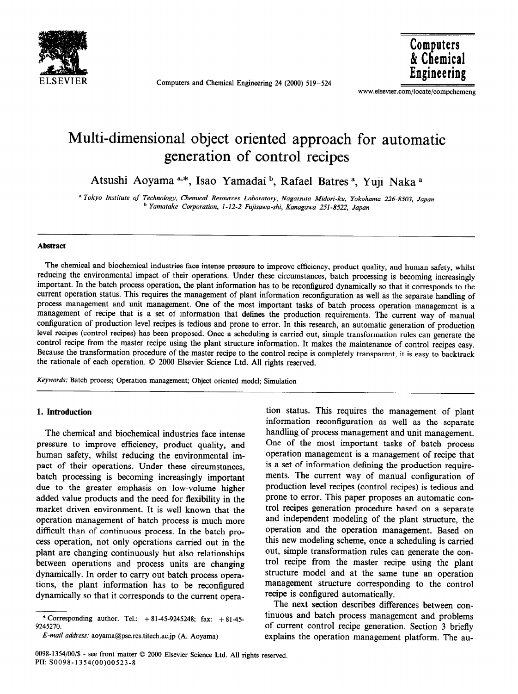

Computers and Chemical Engineering 24 (2000) 519-524

Computers & Chemical Engineering

www.elsevier.com/locate/compchemeng

## Multi-dimensional object oriented approach for automati generation of control recipes

Atsushi Aoyama a,\*, Isao Yamadai b, Rafael Batres <sup>a</sup>, Yuji Naka a

<sup>a</sup> Tokyo Institute of Technology, Chemical Resources Laboratory, Nagatsuta Midori-ku, Yokohama 226-8503, Japan <sup>b</sup> Yamatake Corporation, 1-12-2 Fujisawa-shi, Kanagawa 251-8522, Japan

## **Abstract**

The chemical and biochemical industries face intense pressure to improve efficiency, product quality, and human safety, whilst reducing the environmental impact of their operations. Under these circumstances, batch processing is becoming increasingly important. In the batch process operation, the plant information has to be reconfigured dynamically so that it corresponds to the current operation status. This requires the management of plant information reconfiguration as well as the separate handling of process management and unit management. One of the most important tasks of batch process operation management is a management of recipe that is a set of information that defines the production requirements. The current way of manual configuration of production level recipes is tedious and prone to error. In this research, an automatic generation of production level recipes (control recipes) has been proposed. Once a scheduling is carried out, simple transformation rules can generate the control recipe from the master recipe using the plant structure information. It makes the maintenance of control recipes easy. Because the transformation procedure of the master recipe to the control recipe is completely transparent, it is easy to backtrack the rationale of each operation.  $\oslash$  2000 Elsevier Science Ltd. All rights reserved.

*Keywords:* Batch process; Operation management; Object oriented model; Simulation

## **1. Introduction**

The chemical and biochemical industries face intense pressure to improve efficiency, product quality, and human safety, whilst reducing the environmental impact of their operations. Under these circumstances, batch processing is becoming increasingly important due to the greater emphasis on low-volume higher added value products and the need for flexibility in the market driven environment. It is well known that the operation management of batch process is much more difficult than of continuous process. In the batch process operation, not only operations carried out in the plant are changing continuously but also relationships between operations and process units are changing dynamically. In order to carry out batch process operations, the plant information has to be reconfigured dynamically so that it corresponds to the current opera-

\* Corresponding author. Tel.:  $+81-45-9245248$ ; fax:  $+81-45-$ 9245210.

tion status. This requires the management of plant information reconfiguration as well as the separate handling of process management and unit management. One of the most important tasks of batch process operation management is a management of recipe that is a set of information defining the production requirements. The current way of manual configuration of production level recipes (control recipes) is tedious and prone to error. This paper proposes an automatic control recipes generation procedure based on a separate and independent modeling of the plant structure, the operation and the operation management. Based on this new modeling scheme, once a scheduling is carried out, simple transformation rules can generate the control recipe from the master recipe using the plant structure model and at the same tune an operation management structure corresponding to the control recipe is configured automatically.

The next section describes differences between continuous and batch process management and problems of current control recipe generation. Section 3 briefly explains the operation management platform. The au-

*E-mail address:* aoyama@pse.res.titech.ac.jp (A. Aoyama)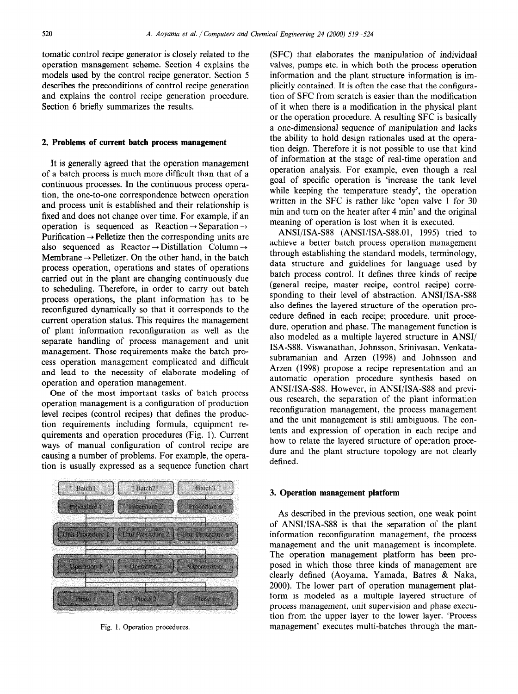tomatic control recipe generator is closely related to the operation management scheme. Section 4 explains the models used by the control recipe generator. Section 5 describes the preconditions of control recipe generation and explains the control recipe generation procedure. Section 6 briefly summarizes the results.

## 2. **Problems of current batch process management**

It is generally agreed that the operation management of a batch process is much more difficult than that of a continuous processes. In the continuous process operation, the one-to-one correspondence between operation and process unit is established and their relationship is fixed and does not change over time. For example, if an operation is sequenced as Reaction  $\rightarrow$  Separation  $\rightarrow$ Purification  $\rightarrow$  Pelletize then the corresponding units are also sequenced as Reactor  $\rightarrow$  Distillation Column  $\rightarrow$ Membrane  $\rightarrow$  Pelletizer. On the other hand, in the batch process operation, operations and states of operations carried out in the plant are changing continuously due to scheduling. Therefore, in order to carry out batch process operations, the plant information has to be reconfigured dynamically so that it corresponds to the current operation status. This requires the management of plant information reconfiguration as well as the separate handling of process management and unit management. Those requirements make the batch process operation management complicated and difficult and lead to the necessity of elaborate modeling of operation and operation management.

One of the most important tasks of batch process operation management is a configuration of production level recipes (control recipes) that defines the production requirements including formula, equipment requirements and operation procedures (Fig. 1). Current ways of manual configuration of control recipe are causing a number of problems. For example, the operation is usually expressed as a sequence function chart



Fig. 1. Operation procedures.

(SFC) that elaborates the manipulation of individual valves, pumps etc. in which both the process operation information and the plant structure information is implicitly contained. It is often the case that the configuration of SFC from scratch is easier than the modification of it when there is a modification in the physical plant or the operation procedure. A resulting SFC is basically a one-dimensional sequence of manipulation and lacks the ability to hold design rationales used at the operation deign. Therefore it is not possible to use that kind of information at the stage of real-time operation and operation analysis. For example, even though a real goal of specific operation is 'increase the tank level while keeping the temperature steady', the operation written in the SFC is rather like 'open valve 1 for 30 min and turn on the heater after 4 min' and the original meaning of operation is lost when it is executed.

ANSI/ISA-S88 (ANSI/ISA-S88.01, 1995) tried to achieve a better batch process operation management through establishing the standard models, terminology, data structure and guidelines for language used by batch process control. It defines three kinds of recipe (general recipe, master recipe, control recipe) corresponding to their level of abstraction. ANSI/ISA-S88 also defines the layered structure of the operation procedure defined in each recipe; procedure, unit procedure, operation and phase. The management function is also modeled as a multiple layered structure in ANSI/ ISA-S88. Viswanathan, Johnsson, Srinivasan, Venkatasubramanian and Arzen (1998) and Johnsson and Arzen (1998) propose a recipe representation and an automatic operation procedure synthesis based on ANSI/ISA-S88. However, in ANSI/ISA-S88 and previous research, the separation of the plant information reconfiguration management, the process management and the unit management is still ambiguous. The contents and expression of operation in each recipe and how to relate the layered structure of operation procedure and the plant structure topology are not clearly defined.

## 3. **Operation management platform**

As described in the previous section, one weak point of ANSI/ISA-S88 is that the separation of the plant information reconfiguration management, the process management and the unit management is incomplete. The operation management platform has been proposed in which those three kinds of management are clearly defined (Aoyama, Yamada, Batres & Naka, 2000). The lower part of operation management platform is modeled as a multiple layered structure of process management, unit supervision and phase execution from the upper layer to the lower layer. 'Process management' executes multi-batches through the man-